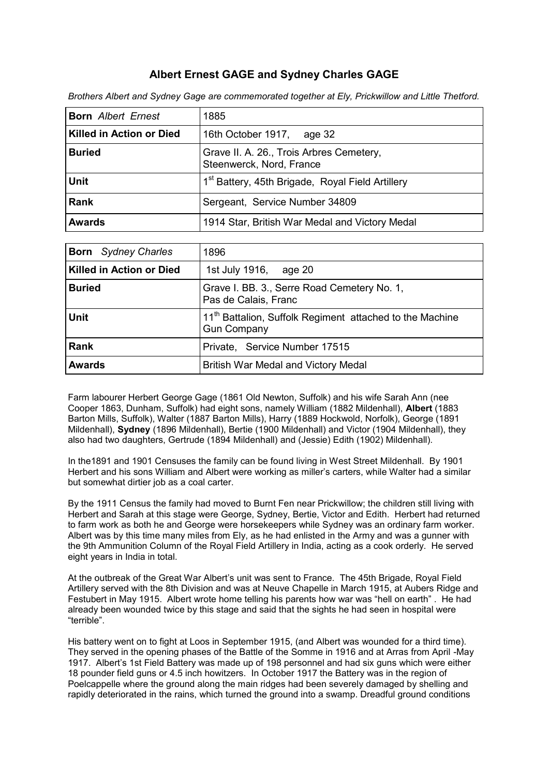# **Albert Ernest GAGE and Sydney Charles GAGE**

| <b>Born</b> Albert Ernest       | 1885                                                                 |
|---------------------------------|----------------------------------------------------------------------|
| <b>Killed in Action or Died</b> | 16th October 1917,<br>age 32                                         |
| <b>Buried</b>                   | Grave II. A. 26., Trois Arbres Cemetery,<br>Steenwerck, Nord, France |
| <b>Unit</b>                     | 1 <sup>st</sup> Battery, 45th Brigade, Royal Field Artillery         |
| <b>Rank</b>                     | Sergeant, Service Number 34809                                       |
| <b>Awards</b>                   | 1914 Star, British War Medal and Victory Medal                       |

*Brothers Albert and Sydney Gage are commemorated together at Ely, Prickwillow and Little Thetford.*

| <b>Born</b> Sydney Charles      | 1896                                                                                       |
|---------------------------------|--------------------------------------------------------------------------------------------|
| <b>Killed in Action or Died</b> | 1st July 1916,<br>age 20                                                                   |
| <b>Buried</b>                   | Grave I. BB. 3., Serre Road Cemetery No. 1,<br>Pas de Calais, Franc                        |
| <b>Unit</b>                     | 11 <sup>th</sup> Battalion, Suffolk Regiment attached to the Machine<br><b>Gun Company</b> |
| <b>Rank</b>                     | Private, Service Number 17515                                                              |
| <b>Awards</b>                   | British War Medal and Victory Medal                                                        |

Farm labourer Herbert George Gage (1861 Old Newton, Suffolk) and his wife Sarah Ann (nee Cooper 1863, Dunham, Suffolk) had eight sons, namely William (1882 Mildenhall), **Albert** (1883 Barton Mills, Suffolk), Walter (1887 Barton Mills), Harry (1889 Hockwold, Norfolk), George (1891 Mildenhall), **Sydney** (1896 Mildenhall), Bertie (1900 Mildenhall) and Victor (1904 Mildenhall), they also had two daughters, Gertrude (1894 Mildenhall) and (Jessie) Edith (1902) Mildenhall).

In the1891 and 1901 Censuses the family can be found living in West Street Mildenhall. By 1901 Herbert and his sons William and Albert were working as miller's carters, while Walter had a similar but somewhat dirtier job as a coal carter.

By the 1911 Census the family had moved to Burnt Fen near Prickwillow; the children still living with Herbert and Sarah at this stage were George, Sydney, Bertie, Victor and Edith. Herbert had returned to farm work as both he and George were horsekeepers while Sydney was an ordinary farm worker. Albert was by this time many miles from Ely, as he had enlisted in the Army and was a gunner with the 9th Ammunition Column of the Royal Field Artillery in India, acting as a cook orderly. He served eight years in India in total.

At the outbreak of the Great War Albert's unit was sent to France. The 45th Brigade, Royal Field Artillery served with the 8th Division and was at Neuve Chapelle in March 1915, at Aubers Ridge and Festubert in May 1915. Albert wrote home telling his parents how war was "hell on earth" . He had already been wounded twice by this stage and said that the sights he had seen in hospital were "terrible".

His battery went on to fight at Loos in September 1915, (and Albert was wounded for a third time). They served in the opening phases of the Battle of the Somme in 1916 and at Arras from April -May 1917. Albert's 1st Field Battery was made up of 198 personnel and had six guns which were either 18 pounder field guns or 4.5 inch howitzers. In October 1917 the Battery was in the region of Poelcappelle where the ground along the main ridges had been severely damaged by shelling and rapidly deteriorated in the rains, which turned the ground into a swamp. Dreadful ground conditions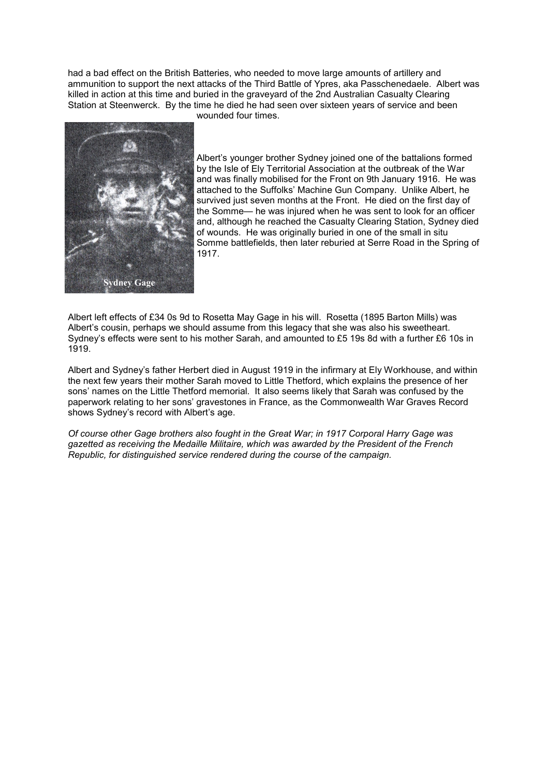had a bad effect on the British Batteries, who needed to move large amounts of artillery and ammunition to support the next attacks of the Third Battle of Ypres, aka Passchenedaele. Albert was killed in action at this time and buried in the graveyard of the 2nd Australian Casualty Clearing Station at Steenwerck. By the time he died he had seen over sixteen years of service and been wounded four times.



Albert's younger brother Sydney joined one of the battalions formed by the Isle of Ely Territorial Association at the outbreak of the War and was finally mobilised for the Front on 9th January 1916. He was attached to the Suffolks' Machine Gun Company. Unlike Albert, he survived just seven months at the Front. He died on the first day of the Somme— he was injured when he was sent to look for an officer and, although he reached the Casualty Clearing Station, Sydney died of wounds. He was originally buried in one of the small in situ Somme battlefields, then later reburied at Serre Road in the Spring of 1917.

Albert left effects of £34 0s 9d to Rosetta May Gage in his will. Rosetta (1895 Barton Mills) was Albert's cousin, perhaps we should assume from this legacy that she was also his sweetheart. Sydney's effects were sent to his mother Sarah, and amounted to £5 19s 8d with a further £6 10s in 1919.

Albert and Sydney's father Herbert died in August 1919 in the infirmary at Ely Workhouse, and within the next few years their mother Sarah moved to Little Thetford, which explains the presence of her sons' names on the Little Thetford memorial. It also seems likely that Sarah was confused by the paperwork relating to her sons' gravestones in France, as the Commonwealth War Graves Record shows Sydney's record with Albert's age.

*Of course other Gage brothers also fought in the Great War; in 1917 Corporal Harry Gage was gazetted as receiving the Medaille Militaire, which was awarded by the President of the French Republic, for distinguished service rendered during the course of the campaign.*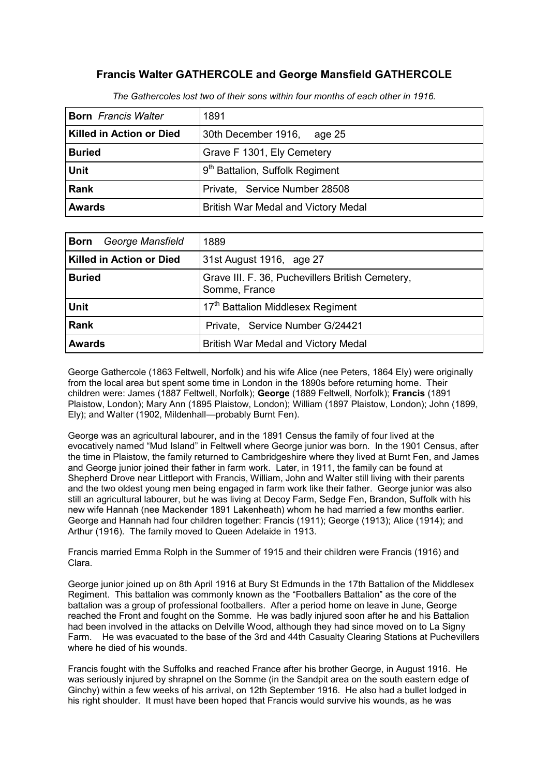# **Francis Walter GATHERCOLE and George Mansfield GATHERCOLE**

| <b>Born</b> Francis Walter      | 1891                                        |
|---------------------------------|---------------------------------------------|
| <b>Killed in Action or Died</b> | 30th December 1916,<br>age 25               |
| <b>Buried</b>                   | Grave F 1301, Ely Cemetery                  |
| <b>Unit</b>                     | 9 <sup>th</sup> Battalion, Suffolk Regiment |
| <b>Rank</b>                     | Private, Service Number 28508               |
| <b>Awards</b>                   | British War Medal and Victory Medal         |

*The Gathercoles lost two of their sons within four months of each other in 1916.*

| George Mansfield<br><b>Born</b> | 1889                                                              |
|---------------------------------|-------------------------------------------------------------------|
| <b>Killed in Action or Died</b> | 31st August 1916, age 27                                          |
| <b>Buried</b>                   | Grave III. F. 36, Puchevillers British Cemetery,<br>Somme, France |
| <b>Unit</b>                     | 17 <sup>th</sup> Battalion Middlesex Regiment                     |
| <b>Rank</b>                     | Private, Service Number G/24421                                   |
| <b>Awards</b>                   | British War Medal and Victory Medal                               |

George Gathercole (1863 Feltwell, Norfolk) and his wife Alice (nee Peters, 1864 Ely) were originally from the local area but spent some time in London in the 1890s before returning home. Their children were: James (1887 Feltwell, Norfolk); **George** (1889 Feltwell, Norfolk); **Francis** (1891 Plaistow, London); Mary Ann (1895 Plaistow, London); William (1897 Plaistow, London); John (1899, Ely); and Walter (1902, Mildenhall—probably Burnt Fen).

George was an agricultural labourer, and in the 1891 Census the family of four lived at the evocatively named "Mud Island" in Feltwell where George junior was born. In the 1901 Census, after the time in Plaistow, the family returned to Cambridgeshire where they lived at Burnt Fen, and James and George junior joined their father in farm work. Later, in 1911, the family can be found at Shepherd Drove near Littleport with Francis, William, John and Walter still living with their parents and the two oldest young men being engaged in farm work like their father. George junior was also still an agricultural labourer, but he was living at Decoy Farm, Sedge Fen, Brandon, Suffolk with his new wife Hannah (nee Mackender 1891 Lakenheath) whom he had married a few months earlier. George and Hannah had four children together: Francis (1911); George (1913); Alice (1914); and Arthur (1916). The family moved to Queen Adelaide in 1913.

Francis married Emma Rolph in the Summer of 1915 and their children were Francis (1916) and Clara.

George junior joined up on 8th April 1916 at Bury St Edmunds in the 17th Battalion of the Middlesex Regiment. This battalion was commonly known as the "Footballers Battalion" as the core of the battalion was a group of professional footballers. After a period home on leave in June, George reached the Front and fought on the Somme. He was badly injured soon after he and his Battalion had been involved in the attacks on Delville Wood, although they had since moved on to La Signy Farm. He was evacuated to the base of the 3rd and 44th Casualty Clearing Stations at Puchevillers where he died of his wounds.

Francis fought with the Suffolks and reached France after his brother George, in August 1916. He was seriously injured by shrapnel on the Somme (in the Sandpit area on the south eastern edge of Ginchy) within a few weeks of his arrival, on 12th September 1916. He also had a bullet lodged in his right shoulder. It must have been hoped that Francis would survive his wounds, as he was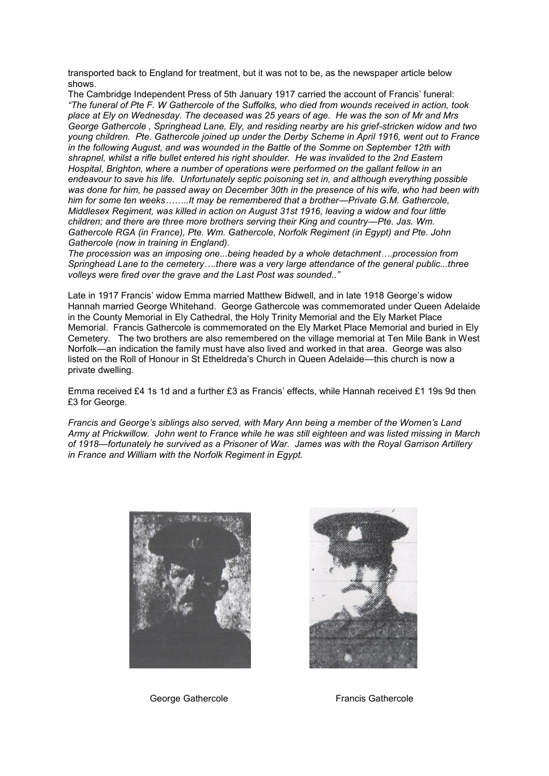transported back to England for treatment, but it was not to be, as the newspaper article below shows.

The Cambridge Independent Press of 5th January 1917 carried the account of Francis' funeral: *"The funeral of Pte F. W Gathercole of the Suffolks, who died from wounds received in action, took place at Ely on Wednesday. The deceased was 25 years of age. He was the son of Mr and Mrs George Gathercole , Springhead Lane, Ely, and residing nearby are his grief-stricken widow and two young children. Pte. Gathercole joined up under the Derby Scheme in April 1916, went out to France in the following August, and was wounded in the Battle of the Somme on September 12th with shrapnel, whilst a rifle bullet entered his right shoulder. He was invalided to the 2nd Eastern Hospital, Brighton, where a number of operations were performed on the gallant fellow in an endeavour to save his life. Unfortunately septic poisoning set in, and although everything possible was done for him, he passed away on December 30th in the presence of his wife, who had been with him for some ten weeks……..It may be remembered that a brother—Private G.M. Gathercole, Middlesex Regiment, was killed in action on August 31st 1916, leaving a widow and four little children; and there are three more brothers serving their King and country—Pte. Jas. Wm. Gathercole RGA (in France), Pte. Wm. Gathercole, Norfolk Regiment (in Egypt) and Pte. John Gathercole (now in training in England).*

*The procession was an imposing one...being headed by a whole detachment….procession from Springhead Lane to the cemetery….there was a very large attendance of the general public...three volleys were fired over the grave and the Last Post was sounded.."*

Late in 1917 Francis' widow Emma married Matthew Bidwell, and in late 1918 George's widow Hannah married George Whitehand. George Gathercole was commemorated under Queen Adelaide in the County Memorial in Ely Cathedral, the Holy Trinity Memorial and the Ely Market Place Memorial. Francis Gathercole is commemorated on the Ely Market Place Memorial and buried in Ely Cemetery. The two brothers are also remembered on the village memorial at Ten Mile Bank in West Norfolk—an indication the family must have also lived and worked in that area. George was also listed on the Roll of Honour in St Etheldreda's Church in Queen Adelaide—this church is now a private dwelling.

Emma received £4 1s 1d and a further £3 as Francis' effects, while Hannah received £1 19s 9d then £3 for George.

*Francis and George's siblings also served, with Mary Ann being a member of the Women's Land Army at Prickwillow. John went to France while he was still eighteen and was listed missing in March of 1918—fortunately he survived as a Prisoner of War. James was with the Royal Garrison Artillery in France and William with the Norfolk Regiment in Egypt.*



George Gathercole **Francis** Gathercole

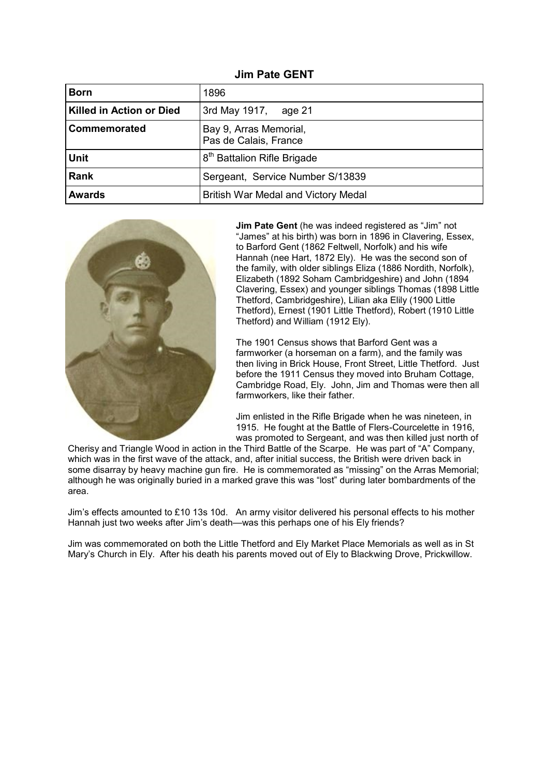| <b>Born</b>              | 1896                                            |
|--------------------------|-------------------------------------------------|
| Killed in Action or Died | 3rd May 1917, age 21                            |
| <b>Commemorated</b>      | Bay 9, Arras Memorial,<br>Pas de Calais, France |
| <b>Unit</b>              | 8 <sup>th</sup> Battalion Rifle Brigade         |
| Rank                     | Sergeant, Service Number S/13839                |
| <b>Awards</b>            | British War Medal and Victory Medal             |

**Jim Pate GENT**



**Jim Pate Gent** (he was indeed registered as "Jim" not "James" at his birth) was born in 1896 in Clavering, Essex, to Barford Gent (1862 Feltwell, Norfolk) and his wife Hannah (nee Hart, 1872 Ely). He was the second son of the family, with older siblings Eliza (1886 Nordith, Norfolk), Elizabeth (1892 Soham Cambridgeshire) and John (1894 Clavering, Essex) and younger siblings Thomas (1898 Little Thetford, Cambridgeshire), Lilian aka Elily (1900 Little Thetford), Ernest (1901 Little Thetford), Robert (1910 Little Thetford) and William (1912 Ely).

The 1901 Census shows that Barford Gent was a farmworker (a horseman on a farm), and the family was then living in Brick House, Front Street, Little Thetford. Just before the 1911 Census they moved into Bruham Cottage, Cambridge Road, Ely. John, Jim and Thomas were then all farmworkers, like their father.

Jim enlisted in the Rifle Brigade when he was nineteen, in 1915. He fought at the Battle of Flers-Courcelette in 1916, was promoted to Sergeant, and was then killed just north of

Cherisy and Triangle Wood in action in the Third Battle of the Scarpe. He was part of "A" Company, which was in the first wave of the attack, and, after initial success, the British were driven back in some disarray by heavy machine gun fire. He is commemorated as "missing" on the Arras Memorial; although he was originally buried in a marked grave this was "lost" during later bombardments of the area.

Jim's effects amounted to £10 13s 10d. An army visitor delivered his personal effects to his mother Hannah just two weeks after Jim's death—was this perhaps one of his Ely friends?

Jim was commemorated on both the Little Thetford and Ely Market Place Memorials as well as in St Mary's Church in Ely. After his death his parents moved out of Ely to Blackwing Drove, Prickwillow.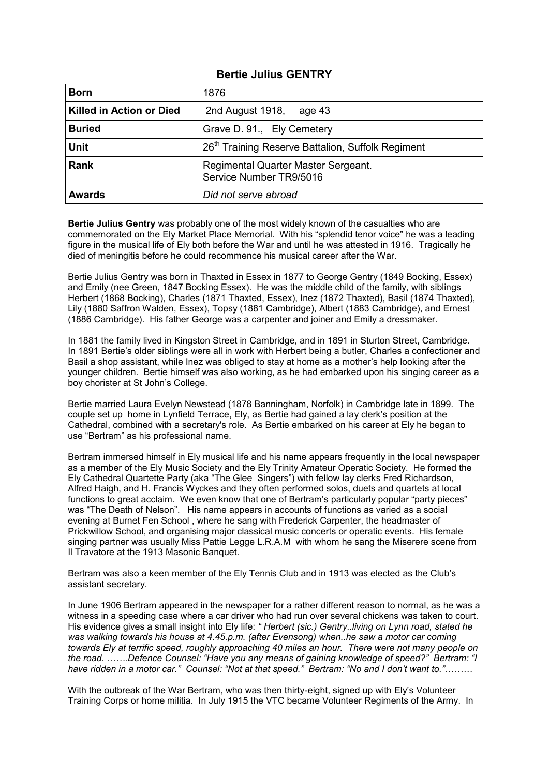#### **Bertie Julius GENTRY**

| <b>Born</b>                     | 1876                                                           |
|---------------------------------|----------------------------------------------------------------|
| <b>Killed in Action or Died</b> | 2nd August 1918,<br>age 43                                     |
| <b>Buried</b>                   | Grave D. 91., Ely Cemetery                                     |
| <b>Unit</b>                     | 26 <sup>th</sup> Training Reserve Battalion, Suffolk Regiment  |
| <b>Rank</b>                     | Regimental Quarter Master Sergeant.<br>Service Number TR9/5016 |
| <b>Awards</b>                   | Did not serve abroad                                           |

**Bertie Julius Gentry** was probably one of the most widely known of the casualties who are commemorated on the Ely Market Place Memorial. With his "splendid tenor voice" he was a leading figure in the musical life of Ely both before the War and until he was attested in 1916. Tragically he died of meningitis before he could recommence his musical career after the War.

Bertie Julius Gentry was born in Thaxted in Essex in 1877 to George Gentry (1849 Bocking, Essex) and Emily (nee Green, 1847 Bocking Essex). He was the middle child of the family, with siblings Herbert (1868 Bocking), Charles (1871 Thaxted, Essex), Inez (1872 Thaxted), Basil (1874 Thaxted), Lily (1880 Saffron Walden, Essex), Topsy (1881 Cambridge), Albert (1883 Cambridge), and Ernest (1886 Cambridge). His father George was a carpenter and joiner and Emily a dressmaker.

In 1881 the family lived in Kingston Street in Cambridge, and in 1891 in Sturton Street, Cambridge. In 1891 Bertie's older siblings were all in work with Herbert being a butler, Charles a confectioner and Basil a shop assistant, while Inez was obliged to stay at home as a mother's help looking after the younger children. Bertie himself was also working, as he had embarked upon his singing career as a boy chorister at St John's College.

Bertie married Laura Evelyn Newstead (1878 Banningham, Norfolk) in Cambridge late in 1899. The couple set up home in Lynfield Terrace, Ely, as Bertie had gained a lay clerk's position at the Cathedral, combined with a secretary's role. As Bertie embarked on his career at Ely he began to use "Bertram" as his professional name.

Bertram immersed himself in Ely musical life and his name appears frequently in the local newspaper as a member of the Ely Music Society and the Ely Trinity Amateur Operatic Society. He formed the Ely Cathedral Quartette Party (aka "The Glee Singers") with fellow lay clerks Fred Richardson, Alfred Haigh, and H. Francis Wyckes and they often performed solos, duets and quartets at local functions to great acclaim. We even know that one of Bertram's particularly popular "party pieces" was "The Death of Nelson". His name appears in accounts of functions as varied as a social evening at Burnet Fen School , where he sang with Frederick Carpenter, the headmaster of Prickwillow School, and organising major classical music concerts or operatic events. His female singing partner was usually Miss Pattie Legge L.R.A.M with whom he sang the Miserere scene from Il Travatore at the 1913 Masonic Banquet.

Bertram was also a keen member of the Ely Tennis Club and in 1913 was elected as the Club's assistant secretary.

In June 1906 Bertram appeared in the newspaper for a rather different reason to normal, as he was a witness in a speeding case where a car driver who had run over several chickens was taken to court. His evidence gives a small insight into Ely life: *" Herbert (sic.) Gentry..living on Lynn road, stated he was walking towards his house at 4.45.p.m. (after Evensong) when..he saw a motor car coming towards Ely at terrific speed, roughly approaching 40 miles an hour. There were not many people on the road. …….Defence Counsel: "Have you any means of gaining knowledge of speed?" Bertram: "I have ridden in a motor car." Counsel: "Not at that speed." Bertram: "No and I don't want to."………*

With the outbreak of the War Bertram, who was then thirty-eight, signed up with Ely's Volunteer Training Corps or home militia. In July 1915 the VTC became Volunteer Regiments of the Army. In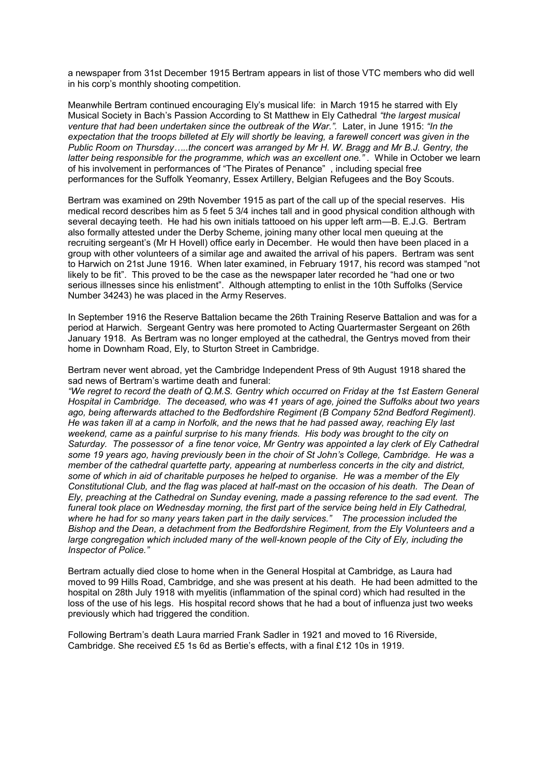a newspaper from 31st December 1915 Bertram appears in list of those VTC members who did well in his corp's monthly shooting competition.

Meanwhile Bertram continued encouraging Ely's musical life: in March 1915 he starred with Ely Musical Society in Bach's Passion According to St Matthew in Ely Cathedral *"the largest musical venture that had been undertaken since the outbreak of the War.".* Later, in June 1915: *"In the expectation that the troops billeted at Ely will shortly be leaving, a farewell concert was given in the Public Room on Thursday…..the concert was arranged by Mr H. W. Bragg and Mr B.J. Gentry, the latter being responsible for the programme, which was an excellent one." . While in October we learn* of his involvement in performances of "The Pirates of Penance" , including special free performances for the Suffolk Yeomanry, Essex Artillery, Belgian Refugees and the Boy Scouts.

Bertram was examined on 29th November 1915 as part of the call up of the special reserves. His medical record describes him as 5 feet 5 3/4 inches tall and in good physical condition although with several decaying teeth. He had his own initials tattooed on his upper left arm—B. E.J.G. Bertram also formally attested under the Derby Scheme, joining many other local men queuing at the recruiting sergeant's (Mr H Hovell) office early in December. He would then have been placed in a group with other volunteers of a similar age and awaited the arrival of his papers. Bertram was sent to Harwich on 21st June 1916. When later examined, in February 1917, his record was stamped "not likely to be fit". This proved to be the case as the newspaper later recorded he "had one or two serious illnesses since his enlistment". Although attempting to enlist in the 10th Suffolks (Service Number 34243) he was placed in the Army Reserves.

In September 1916 the Reserve Battalion became the 26th Training Reserve Battalion and was for a period at Harwich. Sergeant Gentry was here promoted to Acting Quartermaster Sergeant on 26th January 1918. As Bertram was no longer employed at the cathedral, the Gentrys moved from their home in Downham Road, Ely, to Sturton Street in Cambridge.

Bertram never went abroad, yet the Cambridge Independent Press of 9th August 1918 shared the sad news of Bertram's wartime death and funeral:

*"We regret to record the death of Q.M.S. Gentry which occurred on Friday at the 1st Eastern General Hospital in Cambridge. The deceased, who was 41 years of age, joined the Suffolks about two years ago, being afterwards attached to the Bedfordshire Regiment (B Company 52nd Bedford Regiment). He was taken ill at a camp in Norfolk, and the news that he had passed away, reaching Ely last weekend, came as a painful surprise to his many friends. His body was brought to the city on Saturday. The possessor of a fine tenor voice, Mr Gentry was appointed a lay clerk of Ely Cathedral some 19 years ago, having previously been in the choir of St John's College, Cambridge. He was a member of the cathedral quartette party, appearing at numberless concerts in the city and district, some of which in aid of charitable purposes he helped to organise. He was a member of the Ely Constitutional Club, and the flag was placed at half-mast on the occasion of his death. The Dean of Ely, preaching at the Cathedral on Sunday evening, made a passing reference to the sad event. The funeral took place on Wednesday morning, the first part of the service being held in Ely Cathedral, where he had for so many years taken part in the daily services." The procession included the Bishop and the Dean, a detachment from the Bedfordshire Regiment, from the Ely Volunteers and a*  large congregation which included many of the well-*known people of the City of Ely, including the Inspector of Police."*

Bertram actually died close to home when in the General Hospital at Cambridge, as Laura had moved to 99 Hills Road, Cambridge, and she was present at his death. He had been admitted to the hospital on 28th July 1918 with myelitis (inflammation of the spinal cord) which had resulted in the loss of the use of his legs. His hospital record shows that he had a bout of influenza just two weeks previously which had triggered the condition.

Following Bertram's death Laura married Frank Sadler in 1921 and moved to 16 Riverside, Cambridge. She received £5 1s 6d as Bertie's effects, with a final £12 10s in 1919.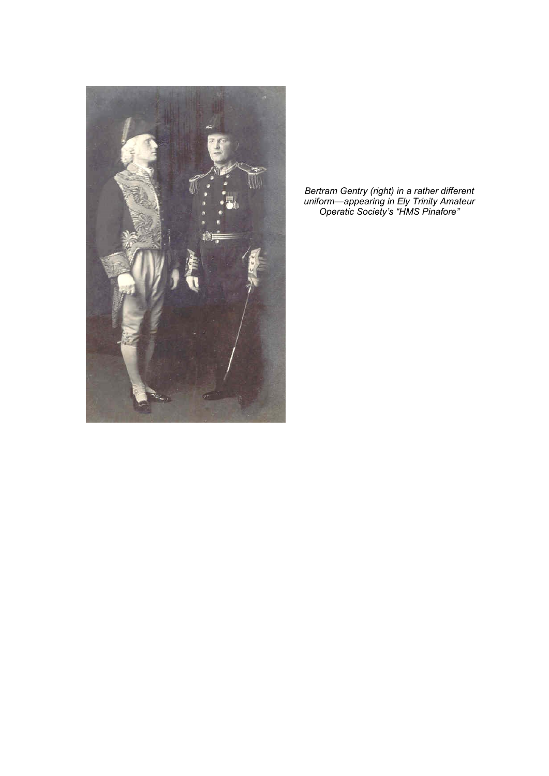

*Bertram Gentry (right) in a rather different uniform—appearing in Ely Trinity Amateur Operatic Society's "HMS Pinafore"*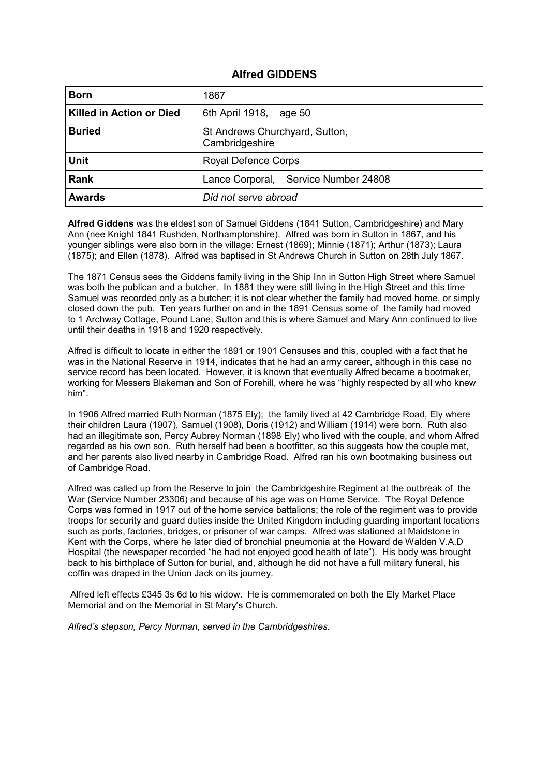#### **Alfred GIDDENS**

| <b>Born</b>              | 1867                                             |
|--------------------------|--------------------------------------------------|
| Killed in Action or Died | 6th April 1918, age 50                           |
| <b>Buried</b>            | St Andrews Churchyard, Sutton,<br>Cambridgeshire |
| <b>Unit</b>              | <b>Royal Defence Corps</b>                       |
| <b>Rank</b>              | Lance Corporal, Service Number 24808             |
| <b>Awards</b>            | Did not serve abroad                             |

**Alfred Giddens** was the eldest son of Samuel Giddens (1841 Sutton, Cambridgeshire) and Mary Ann (nee Knight 1841 Rushden, Northamptonshire). Alfred was born in Sutton in 1867, and his younger siblings were also born in the village: Ernest (1869); Minnie (1871); Arthur (1873); Laura (1875); and Ellen (1878). Alfred was baptised in St Andrews Church in Sutton on 28th July 1867.

The 1871 Census sees the Giddens family living in the Ship Inn in Sutton High Street where Samuel was both the publican and a butcher. In 1881 they were still living in the High Street and this time Samuel was recorded only as a butcher; it is not clear whether the family had moved home, or simply closed down the pub. Ten years further on and in the 1891 Census some of the family had moved to 1 Archway Cottage, Pound Lane, Sutton and this is where Samuel and Mary Ann continued to live until their deaths in 1918 and 1920 respectively.

Alfred is difficult to locate in either the 1891 or 1901 Censuses and this, coupled with a fact that he was in the National Reserve in 1914, indicates that he had an army career, although in this case no service record has been located. However, it is known that eventually Alfred became a bootmaker, working for Messers Blakeman and Son of Forehill, where he was "highly respected by all who knew him".

In 1906 Alfred married Ruth Norman (1875 Ely); the family lived at 42 Cambridge Road, Ely where their children Laura (1907), Samuel (1908), Doris (1912) and William (1914) were born. Ruth also had an illegitimate son, Percy Aubrey Norman (1898 Ely) who lived with the couple, and whom Alfred regarded as his own son. Ruth herself had been a bootfitter, so this suggests how the couple met, and her parents also lived nearby in Cambridge Road. Alfred ran his own bootmaking business out of Cambridge Road.

Alfred was called up from the Reserve to join the Cambridgeshire Regiment at the outbreak of the War (Service Number 23306) and because of his age was on Home Service. The Royal Defence Corps was formed in 1917 out of the home service battalions; the role of the regiment was to provide troops for security and guard duties inside the United Kingdom including guarding important locations such as ports, factories, bridges, or prisoner of war camps. Alfred was stationed at Maidstone in Kent with the Corps, where he later died of bronchial pneumonia at the Howard de Walden V.A.D Hospital (the newspaper recorded "he had not enjoyed good health of late"). His body was brought back to his birthplace of Sutton for burial, and, although he did not have a full military funeral, his coffin was draped in the Union Jack on its journey.

Alfred left effects £345 3s 6d to his widow. He is commemorated on both the Ely Market Place Memorial and on the Memorial in St Mary's Church.

*Alfred's stepson, Percy Norman, served in the Cambridgeshires.*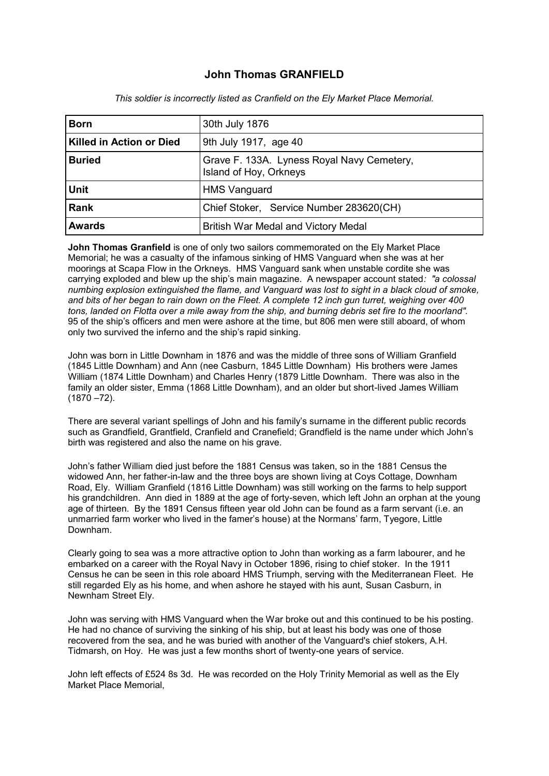### **John Thomas GRANFIELD**

| <b>Born</b>              | 30th July 1876                                                       |
|--------------------------|----------------------------------------------------------------------|
| Killed in Action or Died | 9th July 1917, age 40                                                |
| <b>Buried</b>            | Grave F. 133A. Lyness Royal Navy Cemetery,<br>Island of Hoy, Orkneys |
| <b>Unit</b>              | <b>HMS Vanguard</b>                                                  |
| <b>Rank</b>              | Chief Stoker, Service Number 283620(CH)                              |
| <b>Awards</b>            | British War Medal and Victory Medal                                  |

*This soldier is incorrectly listed as Cranfield on the Ely Market Place Memorial.*

**John Thomas Granfield** is one of only two sailors commemorated on the Ely Market Place Memorial; he was a casualty of the infamous sinking of HMS Vanguard when she was at her moorings at Scapa Flow in the Orkneys. HMS Vanguard sank when unstable cordite she was carrying exploded and blew up the ship's main magazine. A newspaper account stated*: "a colossal numbing explosion extinguished the flame, and Vanguard was lost to sight in a black cloud of smoke, and bits of her began to rain down on the Fleet. A complete 12 inch gun turret, weighing over 400 tons, landed on Flotta over a mile away from the ship, and burning debris set fire to the moorland".*  95 of the ship's officers and men were ashore at the time, but 806 men were still aboard, of whom only two survived the inferno and the ship's rapid sinking.

John was born in Little Downham in 1876 and was the middle of three sons of William Granfield (1845 Little Downham) and Ann (nee Casburn, 1845 Little Downham) His brothers were James William (1874 Little Downham) and Charles Henry (1879 Little Downham. There was also in the family an older sister, Emma (1868 Little Downham), and an older but short-lived James William  $(1870 - 72)$ .

There are several variant spellings of John and his family's surname in the different public records such as Grandfield, Grantfield, Cranfield and Cranefield; Grandfield is the name under which John's birth was registered and also the name on his grave.

John's father William died just before the 1881 Census was taken, so in the 1881 Census the widowed Ann, her father-in-law and the three boys are shown living at Coys Cottage, Downham Road, Ely. William Granfield (1816 Little Downham) was still working on the farms to help support his grandchildren. Ann died in 1889 at the age of forty-seven, which left John an orphan at the young age of thirteen. By the 1891 Census fifteen year old John can be found as a farm servant (i.e. an unmarried farm worker who lived in the famer's house) at the Normans' farm, Tyegore, Little Downham.

Clearly going to sea was a more attractive option to John than working as a farm labourer, and he embarked on a career with the Royal Navy in October 1896, rising to chief stoker. In the 1911 Census he can be seen in this role aboard HMS Triumph, serving with the Mediterranean Fleet. He still regarded Ely as his home, and when ashore he stayed with his aunt, Susan Casburn, in Newnham Street Ely.

John was serving with HMS Vanguard when the War broke out and this continued to be his posting. He had no chance of surviving the sinking of his ship, but at least his body was one of those recovered from the sea, and he was buried with another of the Vanguard's chief stokers, A.H. Tidmarsh, on Hoy. He was just a few months short of twenty-one years of service.

John left effects of £524 8s 3d. He was recorded on the Holy Trinity Memorial as well as the Ely Market Place Memorial,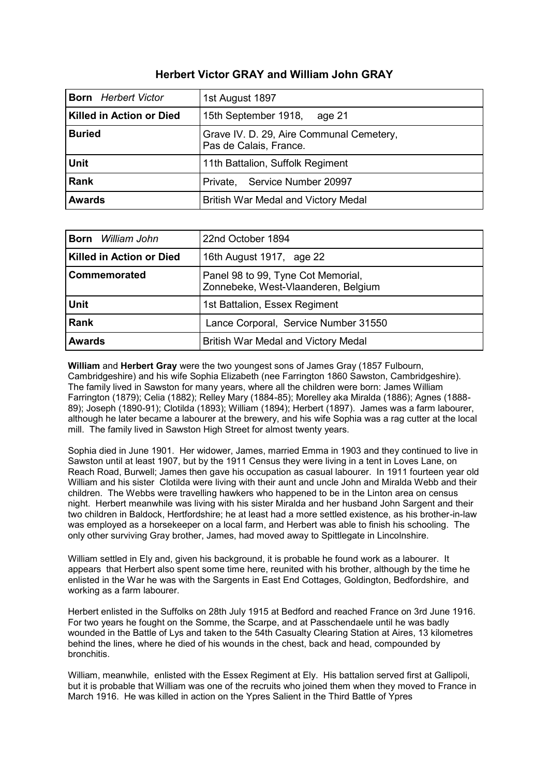### **Herbert Victor GRAY and William John GRAY**

| <b>Born</b> Herbert Victor | 1st August 1897                                                    |
|----------------------------|--------------------------------------------------------------------|
| Killed in Action or Died   | 15th September 1918,<br>age 21                                     |
| <b>Buried</b>              | Grave IV. D. 29, Aire Communal Cemetery,<br>Pas de Calais, France. |
| <b>Unit</b>                | 11th Battalion, Suffolk Regiment                                   |
| <b>Rank</b>                | Private, Service Number 20997                                      |
| <b>Awards</b>              | British War Medal and Victory Medal                                |

| <b>Born</b> William John        | 22nd October 1894                                                         |
|---------------------------------|---------------------------------------------------------------------------|
| <b>Killed in Action or Died</b> | 16th August 1917, age 22                                                  |
| Commemorated                    | Panel 98 to 99, Tyne Cot Memorial,<br>Zonnebeke, West-Vlaanderen, Belgium |
| <b>Unit</b>                     | 1st Battalion, Essex Regiment                                             |
| <b>Rank</b>                     | Lance Corporal, Service Number 31550                                      |
| <b>Awards</b>                   | British War Medal and Victory Medal                                       |

**William** and **Herbert Gray** were the two youngest sons of James Gray (1857 Fulbourn, Cambridgeshire) and his wife Sophia Elizabeth (nee Farrington 1860 Sawston, Cambridgeshire). The family lived in Sawston for many years, where all the children were born: James William Farrington (1879); Celia (1882); Relley Mary (1884-85); Morelley aka Miralda (1886); Agnes (1888- 89); Joseph (1890-91); Clotilda (1893); William (1894); Herbert (1897). James was a farm labourer, although he later became a labourer at the brewery, and his wife Sophia was a rag cutter at the local mill. The family lived in Sawston High Street for almost twenty years.

Sophia died in June 1901. Her widower, James, married Emma in 1903 and they continued to live in Sawston until at least 1907, but by the 1911 Census they were living in a tent in Loves Lane, on Reach Road, Burwell; James then gave his occupation as casual labourer. In 1911 fourteen year old William and his sister Clotilda were living with their aunt and uncle John and Miralda Webb and their children. The Webbs were travelling hawkers who happened to be in the Linton area on census night. Herbert meanwhile was living with his sister Miralda and her husband John Sargent and their two children in Baldock, Hertfordshire; he at least had a more settled existence, as his brother-in-law was employed as a horsekeeper on a local farm, and Herbert was able to finish his schooling. The only other surviving Gray brother, James, had moved away to Spittlegate in Lincolnshire.

William settled in Ely and, given his background, it is probable he found work as a labourer. It appears that Herbert also spent some time here, reunited with his brother, although by the time he enlisted in the War he was with the Sargents in East End Cottages, Goldington, Bedfordshire, and working as a farm labourer.

Herbert enlisted in the Suffolks on 28th July 1915 at Bedford and reached France on 3rd June 1916. For two years he fought on the Somme, the Scarpe, and at Passchendaele until he was badly wounded in the Battle of Lys and taken to the 54th Casualty Clearing Station at Aires, 13 kilometres behind the lines, where he died of his wounds in the chest, back and head, compounded by bronchitis.

William, meanwhile, enlisted with the Essex Regiment at Ely. His battalion served first at Gallipoli, but it is probable that William was one of the recruits who joined them when they moved to France in March 1916. He was killed in action on the Ypres Salient in the Third Battle of Ypres